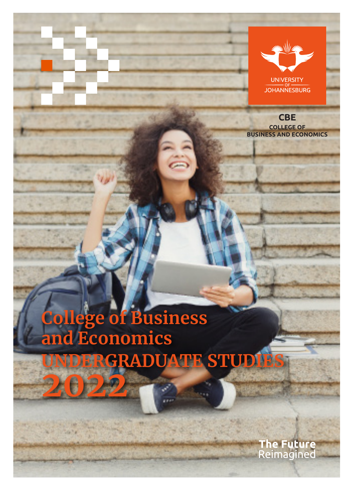

**COLLEGE OF BUSINESS AND ECONOMICS CBE**

# **College of Business and Economics GRADUATE STUDIE**

**2022**

**The Future** Reimagined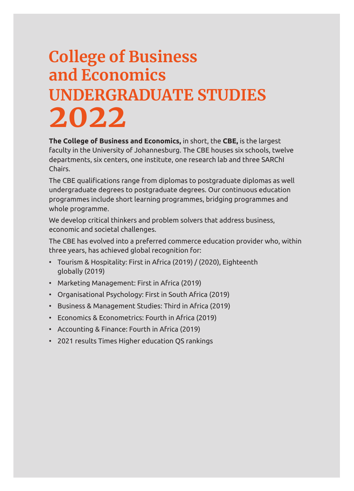# **College of Business and Economics UNDERGRADUATE STUDIES 2022**

**The College of Business and Economics,** in short, the **CBE,** is the largest faculty in the University of Johannesburg. The CBE houses six schools, twelve departments, six centers, one institute, one research lab and three SARChI Chairs.

The CBE qualifications range from diplomas to postgraduate diplomas as well undergraduate degrees to postgraduate degrees. Our continuous education programmes include short learning programmes, bridging programmes and whole programme.

We develop critical thinkers and problem solvers that address business, economic and societal challenges.

The CBE has evolved into a preferred commerce education provider who, within three years, has achieved global recognition for:

- Tourism & Hospitality: First in Africa (2019) / (2020), Eighteenth globally (2019)
- Marketing Management: First in Africa (2019)
- Organisational Psychology: First in South Africa (2019)
- Business & Management Studies: Third in Africa (2019)
- Economics & Econometrics: Fourth in Africa (2019)
- Accounting & Finance: Fourth in Africa (2019)
- 2021 results Times Higher education QS rankings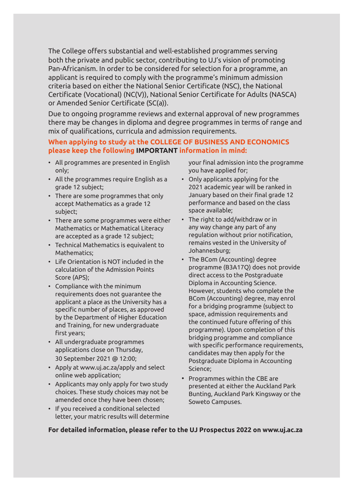The College offers substantial and well-established programmes serving both the private and public sector, contributing to UJ's vision of promoting Pan-Africanism. In order to be considered for selection for a programme, an applicant is required to comply with the programme's minimum admission criteria based on either the National Senior Certificate (NSC), the National Certificate (Vocational) (NC(V)), National Senior Certificate for Adults (NASCA) or Amended Senior Certificate (SC(a)).

Due to ongoing programme reviews and external approval of new programmes there may be changes in diploma and degree programmes in terms of range and mix of qualifications, curricula and admission requirements.

## **When applying to study at the COLLEGE OF BUSINESS AND ECONOMICS please keep the following IMPORTANT information in mind:**

- All programmes are presented in English only;
- All the programmes require English as a grade 12 subject;
- There are some programmes that only accept Mathematics as a grade 12 subject;
- There are some programmes were either Mathematics or Mathematical Literacy are accepted as a grade 12 subject;
- Technical Mathematics is equivalent to Mathematics;
- Life Orientation is NOT included in the calculation of the Admission Points Score (APS);
- Compliance with the minimum requirements does not guarantee the applicant a place as the University has a specific number of places, as approved by the Department of Higher Education and Training, for new undergraduate first years;
- All undergraduate programmes applications close on Thursday, 30 September 2021 @ 12:00;
- Apply at www.uj.ac.za/apply and select online web application;
- Applicants may only apply for two study choices. These study choices may not be amended once they have been chosen;
- If you received a conditional selected letter, your matric results will determine

your final admission into the programme you have applied for;

- Only applicants applying for the 2021 academic year will be ranked in January based on their final grade 12 performance and based on the class space available;
- The right to add/withdraw or in any way change any part of any regulation without prior notification, remains vested in the University of Johannesburg;
- The BCom (Accounting) degree programme (B3A17Q) does not provide direct access to the Postgraduate Diploma in Accounting Science. However, students who complete the BCom (Accounting) degree, may enrol for a bridging programme (subject to space, admission requirements and the continued future offering of this programme). Upon completion of this bridging programme and compliance with specific performance requirements, candidates may then apply for the Postgraduate Diploma in Accounting Science;
- Programmes within the CBE are presented at either the Auckland Park Bunting, Auckland Park Kingsway or the Soweto Campuses.

**For detailed information, please refer to the UJ Prospectus 2022 on www.uj.ac.za**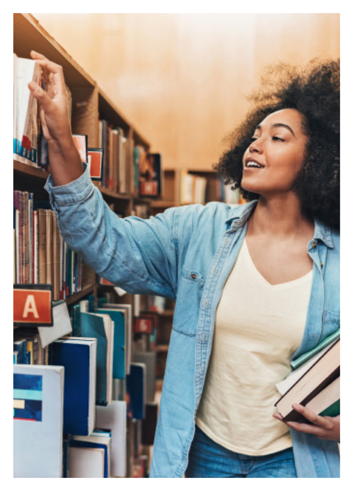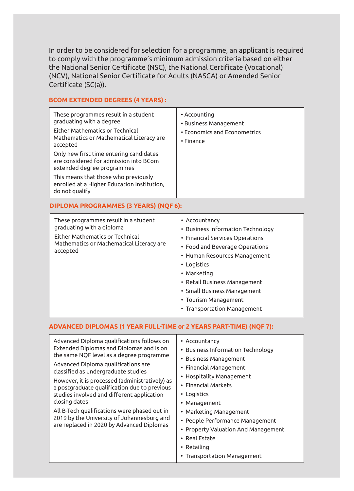In order to be considered for selection for a programme, an applicant is required to comply with the programme's minimum admission criteria based on either the National Senior Certificate (NSC), the National Certificate (Vocational) (NCV), National Senior Certificate for Adults (NASCA) or Amended Senior Certificate (SC(a)).

### **BCOM EXTENDED DEGREES (4 YEARS) :**

accepted

| These programmes result in a student<br>graduating with a degree<br><b>Fither Mathematics or Technical</b><br>Mathematics or Mathematical Literacy are<br>accepted<br>Only new first time entering candidates<br>are considered for admission into BCom<br>extended degree programmes<br>This means that those who previously<br>enrolled at a Higher Education Institution,<br>do not qualify | • Accounting<br>• Business Management<br>• Economics and Econometrics<br>• Finance                                         |  |  |  |  |  |
|------------------------------------------------------------------------------------------------------------------------------------------------------------------------------------------------------------------------------------------------------------------------------------------------------------------------------------------------------------------------------------------------|----------------------------------------------------------------------------------------------------------------------------|--|--|--|--|--|
| DIPLOMA PROGRAMMES (3 YEARS) (NOF 6):                                                                                                                                                                                                                                                                                                                                                          |                                                                                                                            |  |  |  |  |  |
| These programmes result in a student<br>graduating with a diploma<br>Either Mathematics or Technical<br>Mathematics or Mathematical Literacy are                                                                                                                                                                                                                                               | • Accountancy<br>• Business Information Technology<br>• Financial Services Operations<br>Expedient Books and Original More |  |  |  |  |  |

|  |  |  |  | • Food and Beverage Operations |
|--|--|--|--|--------------------------------|
|--|--|--|--|--------------------------------|

- Human Resources Management
- Logistics
- Marketing
- Retail Business Management
- Small Business Management
- Tourism Management
- Transportation Management

#### **ADVANCED DIPLOMAS (1 YEAR FULL-TIME or 2 YEARS PART-TIME) (NQF 7):**

| Advanced Diploma qualifications follows on<br>Extended Diplomas and Diplomas and is on<br>the same NQF level as a degree programme<br>Advanced Diploma qualifications are<br>classified as undergraduate studies<br>However, it is processed (administratively) as<br>a postgraduate qualification due to previous<br>studies involved and different application<br>closing dates | • Accountancy<br>• Business Information Technology<br>• Business Management<br>• Financial Management<br>• Hospitality Management<br>• Financial Markets<br>• Logistics<br>• Management |
|-----------------------------------------------------------------------------------------------------------------------------------------------------------------------------------------------------------------------------------------------------------------------------------------------------------------------------------------------------------------------------------|-----------------------------------------------------------------------------------------------------------------------------------------------------------------------------------------|
| All B-Tech qualifications were phased out in<br>2019 by the University of Johannesburg and<br>are replaced in 2020 by Advanced Diplomas                                                                                                                                                                                                                                           | • Marketing Management<br>• People Performance Management<br>• Property Valuation And Management<br>• Real Estate<br>$\cdot$ Retailing<br>• Transportation Management                   |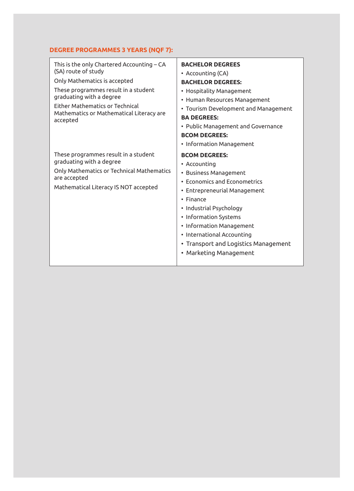## **DEGREE PROGRAMMES 3 YEARS (NQF 7):**

| This is the only Chartered Accounting $-$ CA<br>(SA) route of study<br>Only Mathematics is accepted<br>These programmes result in a student<br>graduating with a degree<br>Either Mathematics or Technical<br>Mathematics or Mathematical Literacy are<br>accepted | <b>BACHELOR DEGREES</b><br>• Accounting (CA)<br><b>BACHELOR DEGREES:</b><br>• Hospitality Management<br>• Human Resources Management<br>• Tourism Development and Management<br><b>BA DEGREES:</b><br>• Public Management and Governance<br><b>BCOM DEGREES:</b><br>• Information Management                               |
|--------------------------------------------------------------------------------------------------------------------------------------------------------------------------------------------------------------------------------------------------------------------|----------------------------------------------------------------------------------------------------------------------------------------------------------------------------------------------------------------------------------------------------------------------------------------------------------------------------|
| These programmes result in a student<br>graduating with a degree<br>Only Mathematics or Technical Mathematics<br>are accepted<br>Mathematical Literacy IS NOT accepted                                                                                             | <b>BCOM DEGREES:</b><br>• Accounting<br>• Business Management<br>• Economics and Econometrics<br>• Entrepreneurial Management<br>• Finance<br>• Industrial Psychology<br>• Information Systems<br>• Information Management<br>• International Accounting<br>• Transport and Logistics Management<br>• Marketing Management |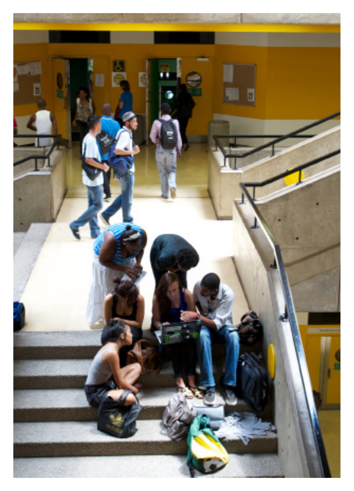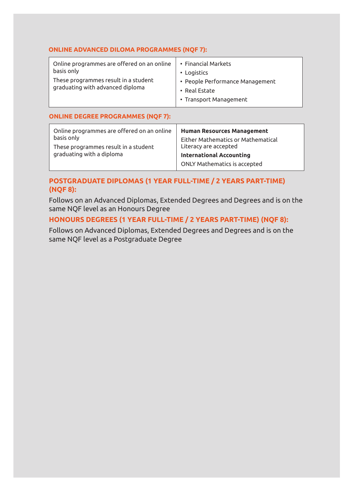#### **ONLINE ADVANCED DILOMA PROGRAMMES (NQF 7):**

| Online programmes are offered on an online<br>basis only<br>These programmes result in a student<br>graduating with advanced diploma | • Financial Markets<br>• Logistics<br>• People Performance Management<br>• Real Estate<br>• Transport Management |
|--------------------------------------------------------------------------------------------------------------------------------------|------------------------------------------------------------------------------------------------------------------|
|                                                                                                                                      |                                                                                                                  |

#### **ONLINE DEGREE PROGRAMMES (NQF 7):**

| Online programmes are offered on an online | Human Resources Management                                             |
|--------------------------------------------|------------------------------------------------------------------------|
| basis only                                 | Either Mathematics or Mathematical                                     |
| These programmes result in a student       | Literacy are accepted                                                  |
| graduating with a diploma                  | <b>International Accounting</b><br><b>ONLY Mathematics is accepted</b> |

# **POSTGRADUATE DIPLOMAS (1 YEAR FULL-TIME / 2 YEARS PART-TIME) (NQF 8):**

Follows on an Advanced Diplomas, Extended Degrees and Degrees and is on the same NQF level as an Honours Degree

## **HONOURS DEGREES (1 YEAR FULL-TIME / 2 YEARS PART-TIME) (NQF 8):**

Follows on Advanced Diplomas, Extended Degrees and Degrees and is on the same NQF level as a Postgraduate Degree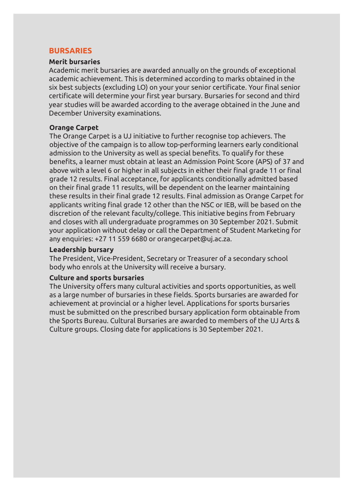### **BURSARIES**

#### **Merit bursaries**

Academic merit bursaries are awarded annually on the grounds of exceptional academic achievement. This is determined according to marks obtained in the six best subjects (excluding LO) on your your senior certificate. Your final senior certificate will determine your first year bursary. Bursaries for second and third year studies will be awarded according to the average obtained in the June and December University examinations.

## **Orange Carpet**

The Orange Carpet is a UJ initiative to further recognise top achievers. The objective of the campaign is to allow top-performing learners early conditional admission to the University as well as special benefits. To qualify for these benefits, a learner must obtain at least an Admission Point Score (APS) of 37 and above with a level 6 or higher in all subjects in either their final grade 11 or final grade 12 results. Final acceptance, for applicants conditionally admitted based on their final grade 11 results, will be dependent on the learner maintaining these results in their final grade 12 results. Final admission as Orange Carpet for applicants writing final grade 12 other than the NSC or IEB, will be based on the discretion of the relevant faculty/college. This initiative begins from February and closes with all undergraduate programmes on 30 September 2021. Submit your application without delay or call the Department of Student Marketing for any enquiries: +27 11 559 6680 or orangecarpet@uj.ac.za.

### **Leadership bursary**

The President, Vice-President, Secretary or Treasurer of a secondary school body who enrols at the University will receive a bursary.

### **Culture and sports bursaries**

The University offers many cultural activities and sports opportunities, as well as a large number of bursaries in these fields. Sports bursaries are awarded for achievement at provincial or a higher level. Applications for sports bursaries must be submitted on the prescribed bursary application form obtainable from the Sports Bureau. Cultural Bursaries are awarded to members of the UJ Arts & Culture groups. Closing date for applications is 30 September 2021.